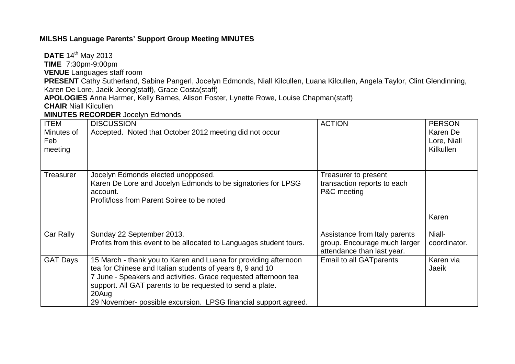## **MlLSHS Language Parents' Support Group Meeting MINUTES**

**DATE** 14<sup>th</sup> May 2013

**TIME** 7:30pm-9:00pm

**VENUE** Languages staff room

**PRESENT** Cathy Sutherland, Sabine Pangerl, Jocelyn Edmonds, Niall Kilcullen, Luana Kilcullen, Angela Taylor, Clint Glendinning, Karen De Lore, Jaeik Jeong(staff), Grace Costa(staff)

**APOLOGIES** Anna Harmer, Kelly Barnes, Alison Foster, Lynette Rowe, Louise Chapman(staff)

**CHAIR** Niall Kilcullen

**MINUTES RECORDER** Jocelyn Edmonds

| <b>ITEM</b>                  | <b>DISCUSSION</b>                                                                                                                                                                                                                                                                                                                        | <b>ACTION</b>                                                                               | <b>PERSON</b>                               |
|------------------------------|------------------------------------------------------------------------------------------------------------------------------------------------------------------------------------------------------------------------------------------------------------------------------------------------------------------------------------------|---------------------------------------------------------------------------------------------|---------------------------------------------|
| Minutes of<br>Feb<br>meeting | Accepted. Noted that October 2012 meeting did not occur                                                                                                                                                                                                                                                                                  |                                                                                             | Karen De<br>Lore, Niall<br><b>Kilkullen</b> |
| <b>Treasurer</b>             | Jocelyn Edmonds elected unopposed.<br>Karen De Lore and Jocelyn Edmonds to be signatories for LPSG<br>account.<br>Profit/loss from Parent Soiree to be noted                                                                                                                                                                             | Treasurer to present<br>transaction reports to each<br>P&C meeting                          | Karen                                       |
| Car Rally                    | Sunday 22 September 2013.<br>Profits from this event to be allocated to Languages student tours.                                                                                                                                                                                                                                         | Assistance from Italy parents<br>group. Encourage much larger<br>attendance than last year. | Niall-<br>coordinator.                      |
| <b>GAT Days</b>              | 15 March - thank you to Karen and Luana for providing afternoon<br>tea for Chinese and Italian students of years 8, 9 and 10<br>7 June - Speakers and activities. Grace requested afternoon tea<br>support. All GAT parents to be requested to send a plate.<br>20Aug<br>29 November- possible excursion. LPSG financial support agreed. | Email to all GAT parents                                                                    | Karen via<br>Jaeik                          |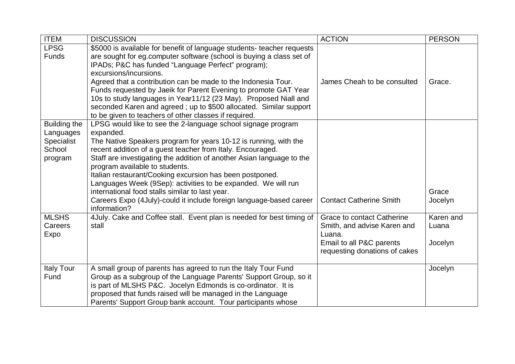| <b>ITEM</b>                                                         | <b>DISCUSSION</b>                                                                                                                                                                                                                                                                                                                                                                                                                                                                                                                                                                             | <b>ACTION</b>                                                                                                                    | <b>PERSON</b>                 |
|---------------------------------------------------------------------|-----------------------------------------------------------------------------------------------------------------------------------------------------------------------------------------------------------------------------------------------------------------------------------------------------------------------------------------------------------------------------------------------------------------------------------------------------------------------------------------------------------------------------------------------------------------------------------------------|----------------------------------------------------------------------------------------------------------------------------------|-------------------------------|
| <b>LPSG</b><br><b>Funds</b>                                         | \$5000 is available for benefit of language students- teacher requests<br>are sought for eg.computer software (school is buying a class set of<br>IPADs; P&C has funded "Language Perfect" program);<br>excursions/incursions.<br>Agreed that a contribution can be made to the Indonesia Tour.<br>Funds requested by Jaeik for Parent Evening to promote GAT Year<br>10s to study languages in Year11/12 (23 May). Proposed Niall and<br>seconded Karen and agreed; up to \$500 allocated. Similar support<br>to be given to teachers of other classes if required.                          | James Cheah to be consulted                                                                                                      | Grace.                        |
| Building the<br>Languages<br><b>Specialist</b><br>School<br>program | LPSG would like to see the 2-language school signage program<br>expanded.<br>The Native Speakers program for years 10-12 is running, with the<br>recent addition of a guest teacher from Italy. Encouraged.<br>Staff are investigating the addition of another Asian language to the<br>program available to students.<br>Italian restaurant/Cooking excursion has been postponed.<br>Languages Week (9Sep): activities to be expanded. We will run<br>international food stalls similar to last year.<br>Careers Expo (4July)-could it include foreign language-based career<br>information? | <b>Contact Catherine Smith</b>                                                                                                   | Grace<br>Jocelyn              |
| <b>MLSHS</b><br>Careers<br>Expo                                     | 4July. Cake and Coffee stall. Event plan is needed for best timing of<br>stall                                                                                                                                                                                                                                                                                                                                                                                                                                                                                                                | Grace to contact Catherine<br>Smith, and advise Karen and<br>Luana.<br>Email to all P&C parents<br>requesting donations of cakes | Karen and<br>Luana<br>Jocelyn |
| <b>Italy Tour</b><br>Fund                                           | A small group of parents has agreed to run the Italy Tour Fund<br>Group as a subgroup of the Language Parents' Support Group, so it<br>is part of MLSHS P&C. Jocelyn Edmonds is co-ordinator. It is<br>proposed that funds raised will be managed in the Language<br>Parents' Support Group bank account. Tour participants whose                                                                                                                                                                                                                                                             |                                                                                                                                  | Jocelyn                       |